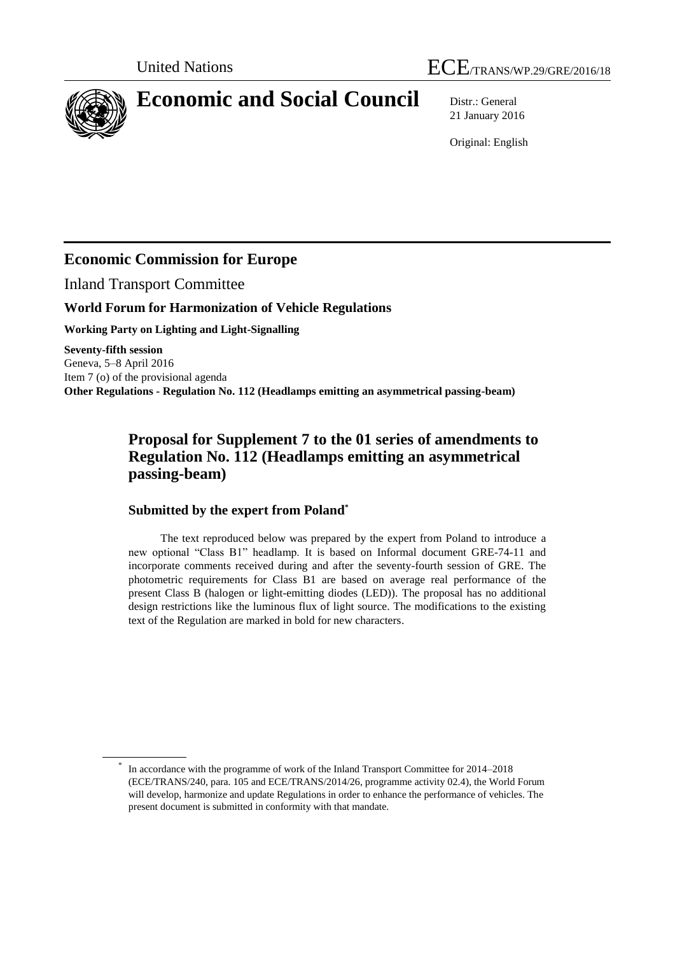

# **Economic and Social Council** Distr.: General

21 January 2016

Original: English

## **Economic Commission for Europe**

Inland Transport Committee

\*

#### **World Forum for Harmonization of Vehicle Regulations**

**Working Party on Lighting and Light-Signalling**

**Seventy-fifth session** Geneva, 5–8 April 2016 Item 7 (o) of the provisional agenda **Other Regulations - Regulation No. 112 (Headlamps emitting an asymmetrical passing-beam)**

# **Proposal for Supplement 7 to the 01 series of amendments to Regulation No. 112 (Headlamps emitting an asymmetrical passing-beam)**

#### **Submitted by the expert from Poland\***

The text reproduced below was prepared by the expert from Poland to introduce a new optional "Class B1" headlamp. It is based on Informal document GRE-74-11 and incorporate comments received during and after the seventy-fourth session of GRE. The photometric requirements for Class B1 are based on average real performance of the present Class B (halogen or light-emitting diodes (LED)). The proposal has no additional design restrictions like the luminous flux of light source. The modifications to the existing text of the Regulation are marked in bold for new characters.

In accordance with the programme of work of the Inland Transport Committee for 2014–2018 (ECE/TRANS/240, para. 105 and ECE/TRANS/2014/26, programme activity 02.4), the World Forum will develop, harmonize and update Regulations in order to enhance the performance of vehicles. The present document is submitted in conformity with that mandate.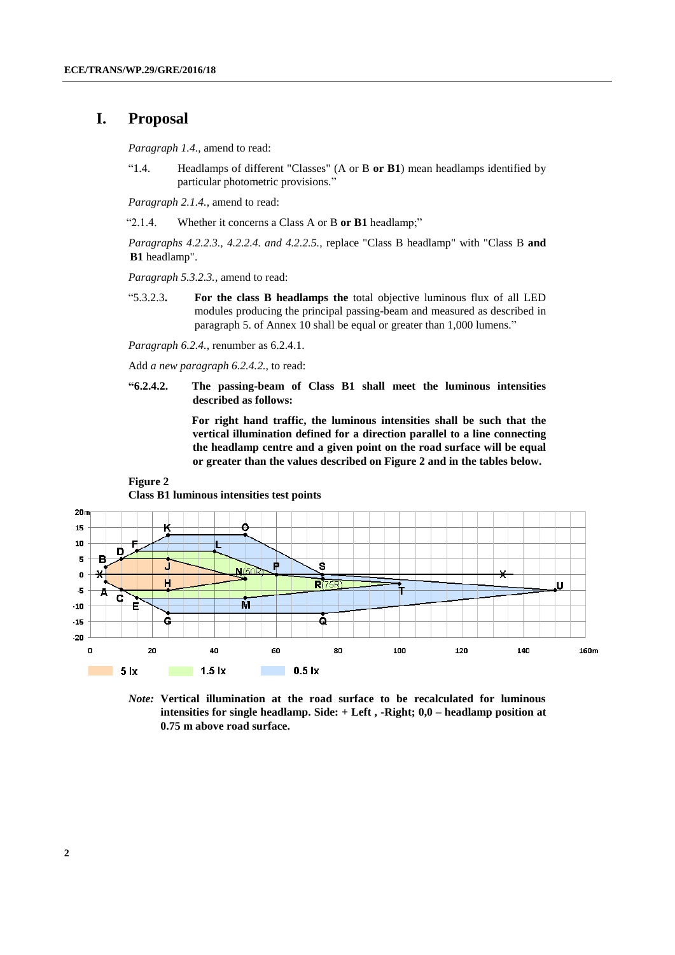## **I. Proposal**

**Figure 2**

*Paragraph 1.4.,* amend to read:

"1.4. Headlamps of different "Classes" (A or B **or B1**) mean headlamps identified by particular photometric provisions."

*Paragraph 2.1.4.,* amend to read:

"2.1.4. Whether it concerns a Class A or B **or B1** headlamp;"

*Paragraphs 4.2.2.3., 4.2.2.4. and 4.2.2.5.,* replace "Class B headlamp" with "Class B **and B1** headlamp".

*Paragraph 5.3.2.3.,* amend to read:

"5.3.2.3**. For the class B headlamps the** total objective luminous flux of all LED modules producing the principal passing-beam and measured as described in paragraph 5. of Annex 10 shall be equal or greater than 1,000 lumens."

*Paragraph 6.2.4.,* renumber as 6.2.4.1.

Add *a new paragraph 6.2.4.2.,* to read:

**"6.2.4.2. The passing-beam of Class B1 shall meet the luminous intensities described as follows:** 

> **For right hand traffic, the luminous intensities shall be such that the vertical illumination defined for a direction parallel to a line connecting the headlamp centre and a given point on the road surface will be equal or greater than the values described on Figure 2 and in the tables below.**



**Class B1 luminous intensities test points** 

*Note:* **Vertical illumination at the road surface to be recalculated for luminous intensities for single headlamp. Side: + Left , -Right; 0,0 – headlamp position at 0.75 m above road surface.**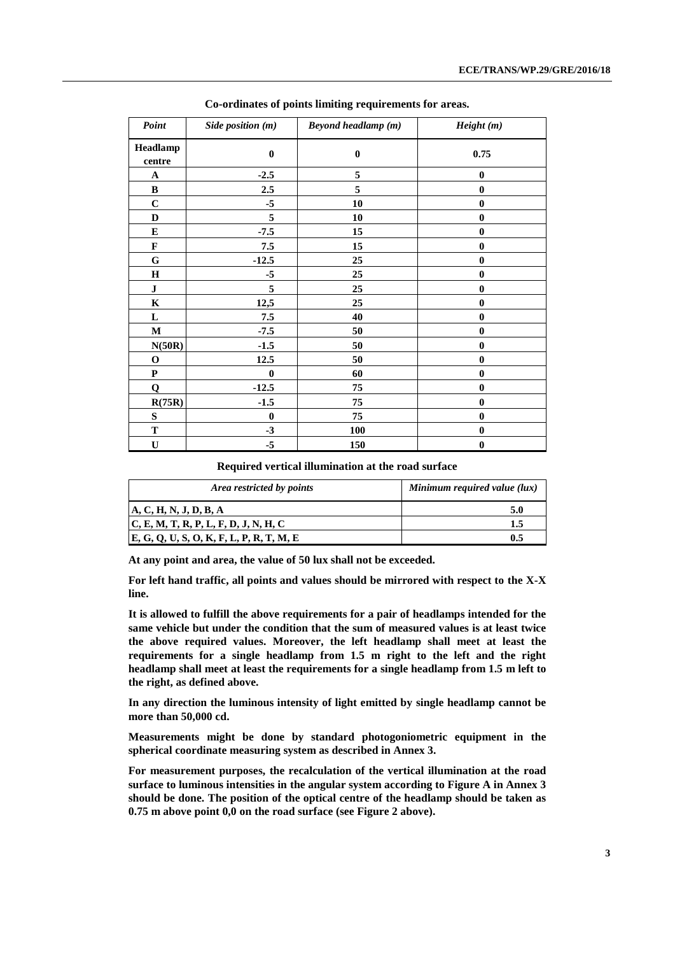| Point              | Side position (m) | <b>Beyond headlamp</b> (m) | Height(m)        |
|--------------------|-------------------|----------------------------|------------------|
| Headlamp<br>centre | $\bf{0}$          | $\bf{0}$                   | 0.75             |
| A                  | $-2.5$            | 5                          | $\bf{0}$         |
| $\, {\bf B}$       | 2.5               | 5                          | $\bf{0}$         |
| $\mathbf C$        | $-5$              | 10                         | $\bf{0}$         |
| D                  | 5                 | 10                         | $\bf{0}$         |
| ${\bf E}$          | $-7.5$            | 15                         | $\bf{0}$         |
| $\mathbf{F}$       | 7.5               | 15                         | $\bf{0}$         |
| ${\bf G}$          | $-12.5$           | 25                         | $\bf{0}$         |
| $\mathbf H$        | $-5$              | 25                         | $\bf{0}$         |
| ${\bf J}$          | 5                 | 25                         | $\bf{0}$         |
| K                  | 12,5              | 25                         | $\bf{0}$         |
| L                  | 7.5               | 40                         | $\bf{0}$         |
| M                  | $-7.5$            | 50                         | $\bf{0}$         |
| N(50R)             | $-1.5$            | 50                         | $\bf{0}$         |
| $\mathbf 0$        | 12.5              | 50                         | $\bf{0}$         |
| ${\bf P}$          | $\mathbf{0}$      | 60                         | $\bf{0}$         |
| $\mathbf Q$        | $-12.5$           | 75                         | $\bf{0}$         |
| R(75R)             | $-1.5$            | 75                         | $\bf{0}$         |
| ${\bf S}$          | $\mathbf{0}$      | 75                         | $\bf{0}$         |
| T                  | $-3$              | 100                        | $\boldsymbol{0}$ |
| $\mathbf U$        | $-5$              | 150                        | $\boldsymbol{0}$ |

**Co-ordinates of points limiting requirements for areas.** 

**Required vertical illumination at the road surface** 

| Area restricted by points                  | Minimum required value (lux) |
|--------------------------------------------|------------------------------|
| A, C, H, N, J, D, B, A                     | 5.0                          |
| C, E, M, T, R, P, L, F, D, J, N, H, C      | 1.5                          |
| $E, G, Q, U, S, O, K, F, L, P, R, T, M, E$ | 0.5                          |

**At any point and area, the value of 50 lux shall not be exceeded.**

**For left hand traffic, all points and values should be mirrored with respect to the X-X line.**

**It is allowed to fulfill the above requirements for a pair of headlamps intended for the same vehicle but under the condition that the sum of measured values is at least twice the above required values. Moreover, the left headlamp shall meet at least the requirements for a single headlamp from 1.5 m right to the left and the right headlamp shall meet at least the requirements for a single headlamp from 1.5 m left to the right, as defined above.**

**In any direction the luminous intensity of light emitted by single headlamp cannot be more than 50,000 cd.**

**Measurements might be done by standard photogoniometric equipment in the spherical coordinate measuring system as described in Annex 3.**

**For measurement purposes, the recalculation of the vertical illumination at the road surface to luminous intensities in the angular system according to Figure A in Annex 3 should be done. The position of the optical centre of the headlamp should be taken as 0.75 m above point 0,0 on the road surface (see Figure 2 above).**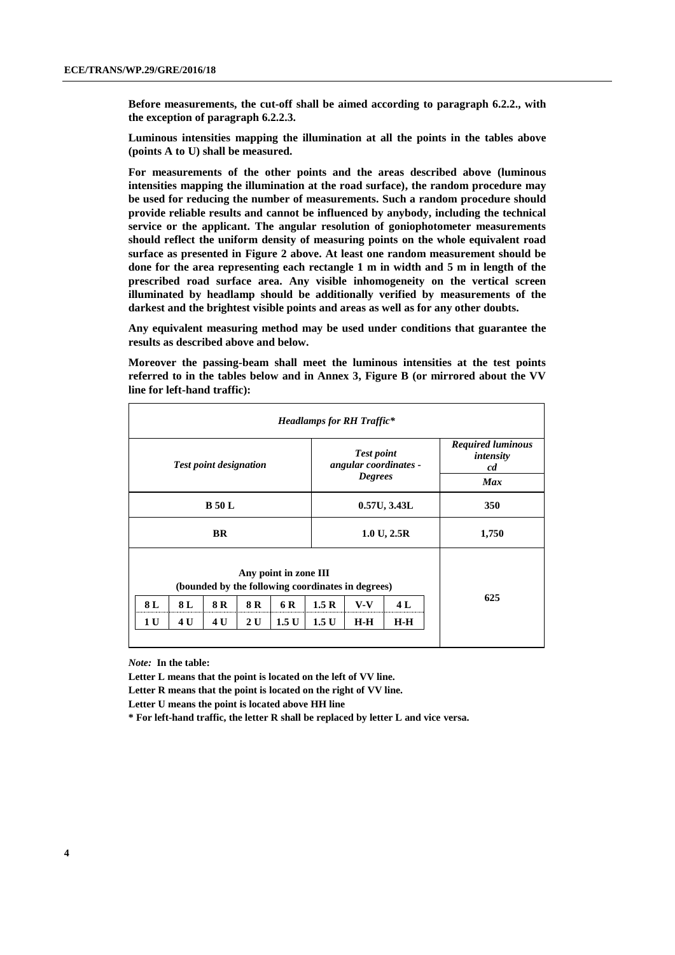**Before measurements, the cut-off shall be aimed according to paragraph 6.2.2., with the exception of paragraph 6.2.2.3.**

**Luminous intensities mapping the illumination at all the points in the tables above (points A to U) shall be measured.**

**For measurements of the other points and the areas described above (luminous intensities mapping the illumination at the road surface), the random procedure may be used for reducing the number of measurements. Such a random procedure should provide reliable results and cannot be influenced by anybody, including the technical service or the applicant. The angular resolution of goniophotometer measurements should reflect the uniform density of measuring points on the whole equivalent road surface as presented in Figure 2 above. At least one random measurement should be done for the area representing each rectangle 1 m in width and 5 m in length of the prescribed road surface area. Any visible inhomogeneity on the vertical screen illuminated by headlamp should be additionally verified by measurements of the darkest and the brightest visible points and areas as well as for any other doubts.** 

**Any equivalent measuring method may be used under conditions that guarantee the results as described above and below.**

**Moreover the passing-beam shall meet the luminous intensities at the test points referred to in the tables below and in Annex 3, Figure B (or mirrored about the VV line for left-hand traffic):**

|                                                                                                                                                                                                      |           |  |  |                                                              | <b>Headlamps for RH Traffic*</b> |                                                           |       |  |
|------------------------------------------------------------------------------------------------------------------------------------------------------------------------------------------------------|-----------|--|--|--------------------------------------------------------------|----------------------------------|-----------------------------------------------------------|-------|--|
| <b>Test point designation</b>                                                                                                                                                                        |           |  |  | <b>Test point</b><br>angular coordinates -<br><b>Degrees</b> |                                  | <b>Required luminous</b><br>intensity<br>cd<br><b>Max</b> |       |  |
| <b>B</b> 50 L                                                                                                                                                                                        |           |  |  | 0.57U, 3.43L                                                 |                                  | 350                                                       |       |  |
|                                                                                                                                                                                                      | <b>BR</b> |  |  |                                                              | 1.0 U, 2.5 R                     |                                                           | 1,750 |  |
| Any point in zone III<br>(bounded by the following coordinates in degrees)<br>8 L<br>8 L<br>8 R<br>8 R<br>1.5 R<br>4 L<br>6 R<br>$V-V$<br>1.5U<br>1 U<br>4 U<br>4 U<br>1.5 U<br>$H-H$<br>2U<br>$H-H$ |           |  |  |                                                              |                                  |                                                           | 625   |  |

*Note:* **In the table:**

**Letter L means that the point is located on the left of VV line.**

**Letter R means that the point is located on the right of VV line.**

**Letter U means the point is located above HH line**

**\* For left-hand traffic, the letter R shall be replaced by letter L and vice versa.**